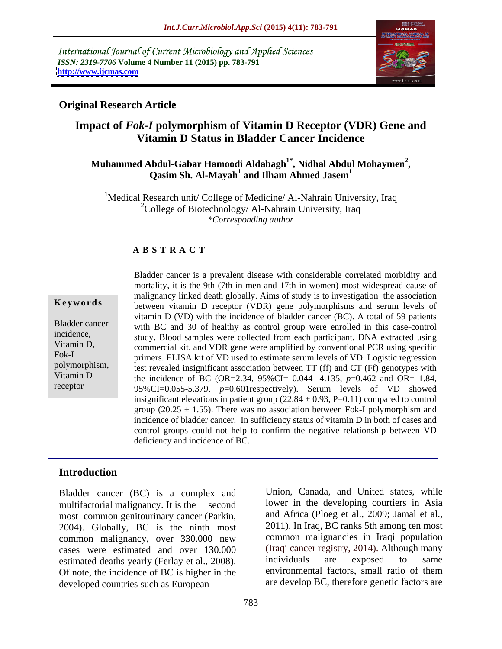International Journal of Current Microbiology and Applied Sciences *ISSN: 2319-7706* **Volume 4 Number 11 (2015) pp. 783-791 <http://www.ijcmas.com>**



## **Original Research Article**

# **Impact of** *Fok-I* **polymorphism of Vitamin D Receptor (VDR) Gene and Vitamin D Status in Bladder Cancer Incidence**

## <code>Muhammed Abdul-Gabar Hamoodi Aldabagh $^{1*}$ , Nidhal Abdul Mohaymen $^{2}$ , Qasim Sh. Al-Mayah $^{1}$  and Ilham Ahmed Jasem $^{1}$ </code> **Qasim Sh. Al-Mayah<sup>1</sup> and Ilham Ahmed Jasem<sup>1</sup>**

<sup>1</sup>Medical Research unit/ College of Medicine/ Al-Nahrain University, Iraq <sup>2</sup>College of Biotechnology/ Al-Nahrain University, Iraq *\*Corresponding author*

### **A B S T R A C T**

receptor

Bladder cancer is a prevalent disease with considerable correlated morbidity and mortality, it is the 9th (7th in men and 17th in women) most widespread cause of malignancy linked death globally. Aims of study is to investigation the association **Keywords** between vitamin D receptor (VDR) gene polymorphisms and serum levels of vitamin D (VD) with the incidence of bladder cancer (BC). A total of 59 patients Bladder cancer with BC and 30 of healthy as control group were enrolled in this case-control incidence, study. Blood samples were collected from each participant. DNA extracted using Vitamin D, commercial kit. and VDR gene were amplified by conventional PCR using specific Fok-I primers. ELISA kit of VD used to estimate serum levels of VD. Logistic regression polymorphism, test revealed insignificant association between TT (ff) and CT (Ff) genotypes with Vitamin D the incidence of BC (OR=2.34,  $95\%$ CI= 0.044- 4.135,  $p=0.462$  and OR= 1.84, 95%CI=0.055-5.379, *p*=0.601respectively). Serum levels of VD showed insignificant elevations in patient group  $(22.84 \pm 0.93, P=0.11)$  compared to control group (20.25  $\pm$  1.55). There was no association between Fok-I polymorphism and incidence of bladder cancer. In sufficiency status of vitamin D in both of cases and control groups could not help to confirm the negative relationship between VD deficiency and incidence of BC.

### **Introduction**

Bladder cancer (BC) is a complex and multifactorial malignancy. It is the second lower in the developing courtiers in Asia most common genitourinary cancer (Parkin, and Africa (Ploeg et al., 2009; Jamal et al., 2004). Globally, BC is the ninth most 2011). In Iraq, BC ranks 5th among ten most common malignancy, over 330.000 new cases were estimated and over 130.000 (Iraqi cancer registry, 2014). A<br>estimated deaths yearly (Ferlay et al. 2008) individuals are exposed estimated deaths yearly (Ferlay et al., 2008). Individuals are exposed to same<br>Of note the incidence of BC is bigher in the environmental factors, small ratio of them Of note, the incidence of BC is higher in the developed countries such as European

Union, Canada, and United states, while and Africa (Ploeg et al., 2009; Jamal et al., 2011). In Iraq, BC ranks 5th among ten most common malignancies in Iraqi population (Iraqi cancer registry, 2014). Although many individuals are exposed to same environmental factors, small ratio of them are develop BC, therefore genetic factors are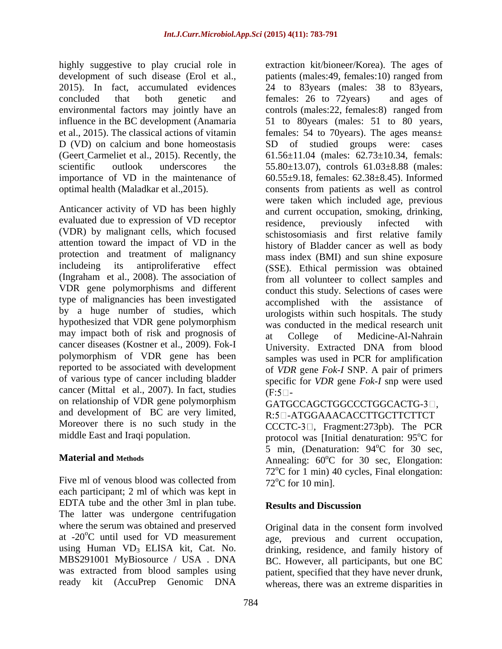highly suggestive to play crucial role in extraction kit/bioneer/Korea). The ages of et al., 2015). The classical actions of vitamin

Anticancer activity of VD has been highly evaluated due to expression of VD receptor residence, previously infected with (VDR) by malignant cells, which focused attention toward the impact of VD in the protection and treatment of malignancy (Ingraham et al., 2008). The association of VDR gene polymorphisms and different type of malignancies has been investigated by a huge number of studies, which hypothesized that VDR gene polymorphism may impact both of risk and prognosis of at College of Medicine-Al-Nahrain cancer diseases (Kostner et al., 2009). Fok-I polymorphism of VDR gene has been reported to be associated with development of various type of cancer including bladder cancer (Mittal et al., 2007). In fact, studies  $(F:5\Box)$ on relationship of VDR gene polymorphism and development of BC are very limited, Moreover there is no such study in the

Five ml of venous blood was collected from  $72^{\circ}$ C for 10 min. each participant; 2 ml of which was kept in EDTA tube and the other 3ml in plan tube. Results and Discussion The latter was undergone centrifugation where the serum was obtained and preserved original data in the consent form involved at  $-20^{\circ}$ C until used for VD measurement age, previous and current occupation, using Human  $VD_3$  ELISA kit, Cat. No. drinking, residence, and family history of MBS291001 MyBiosource / USA . DNA BC However all participants but one BC MBS291001 MyBiosource / USA . DNA BC. However, all participants, but one BC was extracted from blood samples using patient, specified that they have never drunk,

development of such disease (Erol et al., patients (males:49, females:10) ranged from 2015). In fact, accumulated evidences 24 to 83years (males: 38 to 83years, concluded that both genetic and females: 26 to 72 years) and ages of environmental factors may jointly have an controls (males:22, females:8) ranged from influence in the BC development (Anamaria 51 to 80years (males: 51 to 80 years, D (VD) on calcium and bone homeostasis SD of studied groups were: cases (Geert Carmeliet et al., 2015). Recently, the  $61.56 \pm 11.04$  (males:  $62.73 \pm 10.34$ , femals: scientific outlook underscores the 55.80 $\pm$ 13.07), controls 61.03 $\pm$ 8.88 (males: importance of VD in the maintenance of 60.55±9.18, females: 62.38±8.45). Informed optimal health (Maladkar et al.,2015). consents from patients as well as control includeing its antiproliferative effect (SSE). Ethical permission was obtained females: 26 to 72years) and ages of females: 54 to 70years). The ages means± were taken which included age, previous and current occupation, smoking, drinking, residence, previously infected with schistosomiasis and first relative family history of Bladder cancer as well as body mass index (BMI) and sun shine exposure from all volunteer to collect samples and conduct this study. Selections of cases were accomplished with the assistance of urologists within such hospitals. The study was conducted in the medical research unit at College of Medicine-Al-Nahrain University. Extracted DNA from blood samples was used in PCR for amplification of *VDR* gene *Fok-I* SNP. A pair of primers specific for *VDR* gene *Fok-I* snp were used  $(F:5 \Box -$ 

GATGCCAGCTGGCCCTGGCACTG-3<sup>[]</sup>. R: 5 - ATGGAAACACCTTGCTTCTTCT

middle East and Iraqi population. The protocol was [Initial denaturation: 95°C for **Material and Methods Annealing: 60°C** for 30 sec, Elongation:  $CCTC-3$  , Fragment: 273pb). The PCR 5 min, (Denaturation:  $94^{\circ}$ C for 30 sec,  $^{\circ}$ C for 30 sec, <sup>o</sup>C for 30 sec, Elongation:  $72^{\circ}$ C for 1 min) 40 cycles, Final elongation:  $72^{\circ}$ C for 10 min].

## **Results and Discussion**

ready kit (AccuPrep Genomic DNA whereas, there was an extreme disparities inage, previous and current occupation, drinking, residence, and family history of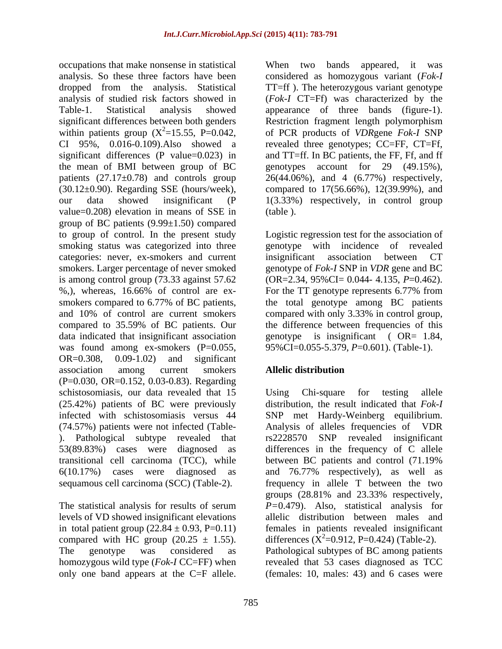occupations that make nonsense in statistical when two bands appeared, it was analysis. So these three factors have been considered as homozygous variant (*Fok-I*  dropped from the analysis. Statistical TT=ff ). The heterozygous variant genotype analysis of studied risk factors showed in (*Fok-I* CT=Ff) was characterized by the Table-1. Statistical analysis showed appearance of three bands (figure-1). significant differences between both genders Restriction fragment length polymorphism within patients group  $(X^2=15.55, P=0.042,$  of PCR products of *VDR*gene *Fok-I* SNP CI 95%, 0.016-0.109).Also showed a revealed three genotypes; CC=FF, CT=Ff, significant differences (P value=0.023) in the mean of BMI between group of BC genotypes account for 29 (49.15%), patients (27.17±0.78) and controls group 26(44.06%), and 4 (6.77%) respectively, (30.12±0.90). Regarding SSE (hours/week), compared to 17(56.66%), 12(39.99%), and our data showed insignificant (P 1(3.33%) respectively, in control group value=0.208) elevation in means of SSE in group of BC patients (9.99±1.50) compared to group of control. In the present study Logistic regression test for the association of smoking status was categorized into three categories: never, ex-smokers and current insignificant association between CT smokers. Larger percentage of never smoked genotype of *Fok-I* SNP in *VDR* gene and BC is among control group (73.33 against 57.62 (OR=2.34, 95%CI= 0.044- 4.135, *P*=0.462). %,), whereas, 16.66% of control are ex- For the TT genotype represents 6.77% from smokers compared to 6.77% of BC patients, the total genotype among BC patients and 10% of control are current smokers compared with only 3.33% in control group, compared to 35.59% of BC patients. Our the difference between frequencies of this data indicated that insignificant association genotype is insignificant ( OR= 1.84, was found among ex-smokers (P=0.055, OR=0.308, 0.09-1.02) and significant association among current smokers Allelic distribution (P=0.030, OR=0.152, 0.03-0.83). Regarding schistosomiasis, our data revealed that 15 Using Chi-square for testing allele (25.42%) patients of BC were previously distribution, the result indicated that *Fok-I* infected with schistosomiasis versus 44 SNP met Hardy-Weinberg equilibrium. (74.57%) patients were not infected (Table- Analysis of alleles frequencies of VDR ). Pathological subtype revealed that rs2228570 SNP revealed insignificant 53(89.83%) cases were diagnosed as differences in the frequency of C allele transitional cell carcinoma (TCC), while 6(10.17%) cases were diagnosed as and 76.77% respectively), as well as sequamous cell carcinoma (SCC) (Table-2). occupation that means are at the states in the two bands appears at the consideration of the many bands and  $17-6$ . The between the consideration of the consideration of  $17-6$ . The between states appears when the conside

The statistical analysis for results of serum levels of VD showed insignificant elevations

and TT=ff. In BC patients, the FF, Ff, and ff (table ).

genotype with incidence of revealed insignificant association between CT 95%CI=0.055-5.379, *P*=0.601). (Table-1).

## **Allelic distribution**

in total patient group  $(22.84 \pm 0.93, P=0.11)$  females in patients revealed insignificant compared with HC group (20.25  $\pm$  1.55). differences ( $\hat{X}^2$ =0.912, P=0.424) (Table-2). The genotype was considered as Pathological subtypes of BC among patients homozygous wild type (*Fok-I* CC=FF) when revealed that 53 cases diagnosed as TCC Using Chi-square for testing allele rs2228570 SNP revealed insignificant between BC patients and control (71.19% frequency in allele T between the two groups (28.81% and 23.33% respectively, *P=*0.479). Also, statistical analysis for allelic distribution between males and (females: 10, males: 43) and 6 cases were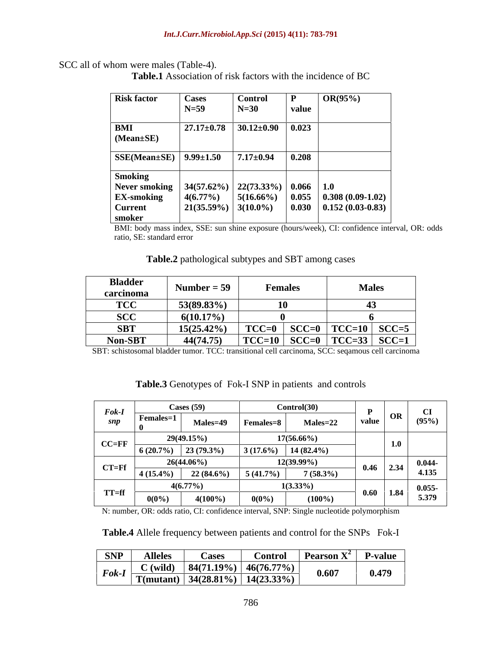### SCC all of whom were males (Table-4).

**Table.1** Association of risk factors with the incidence of BC

| <b>Risk factor</b>                                    | <b>Cases</b>                        | <b>Control</b>  | <sup>D</sup> | $\mathbf{OR}(95\%)$                                                              |
|-------------------------------------------------------|-------------------------------------|-----------------|--------------|----------------------------------------------------------------------------------|
|                                                       | $N=59$                              | $N=30$          | value        |                                                                                  |
| BMI<br>$(Mean \pm SE)$                                | $27.17 \pm 0.78$   $30.12 \pm 0.90$ |                 | 0.023        |                                                                                  |
| $\vert$ SSE(Mean±SE) $\vert$ 9.99±1.50                |                                     | $7.17 \pm 0.94$ | 0.208        |                                                                                  |
| <b>Smoking</b>                                        |                                     |                 |              |                                                                                  |
| Never smoking   34(57.62%)   22(73.33%)   0.066   1.0 |                                     |                 |              |                                                                                  |
| <b>EX-smoking</b>                                     | $4(6.77\%)$                         | $5(16.66\%)$    |              | $\begin{array}{ c c c c c } \hline 0.055 & 0.308 & 0.09-1.02 \hline \end{array}$ |
| <b>Current</b>                                        | $\vert$ 21(35.59%) $\vert$ 3(10.0%) |                 |              | $\vert 0.030 \vert 0.152 \, (0.03-0.83)$                                         |
| smoker                                                |                                     |                 |              |                                                                                  |

BMI: body mass index, SSE: sun shine exposure (hours/week), CI: confidence interval, OR: odds ratio, SE: standard error

| Table.2<br>pathological subtypes and SBT<br>among cases |  |
|---------------------------------------------------------|--|
|                                                         |  |

| <b>Bladder</b><br>carcinoma | Number = $59$ | Females                         | <b>Males</b> |
|-----------------------------|---------------|---------------------------------|--------------|
| <b>TCC</b>                  | $53(89.83\%)$ |                                 |              |
| <b>SCC</b>                  | $6(10.17\%)$  |                                 |              |
| <b>SBT</b>                  | 15(25.42%)    | $TCC=0$                         |              |
| Non-SBT                     | 44(74.75)     | TCC=10   SCC=0   TCC=33   SCC=1 |              |

SBT: schistosomal bladder tumor. TCC: transitional cell carcinoma, SCC: seqamous cell carcinoma

| $Fok-I$   |             | Cases $(59)$                                                                      |                      | Control(30)   |               |     | $\mathbf{C}\mathbf{I}$ |
|-----------|-------------|-----------------------------------------------------------------------------------|----------------------|---------------|---------------|-----|------------------------|
| snp       | Females=1   | Males=49                                                                          | $F$ emales= $\delta$ | Males=22      | value         | OR  | (95%)                  |
| $CC=FF$   |             | 29(49.15%)                                                                        |                      | $17(56.66\%)$ |               | 1.0 |                        |
|           |             | $\begin{array}{ c c c c c c } \hline 6 (20.7\%) & 23 (79.3\%) \hline \end{array}$ | $3(17.6\%)$          | $14(82.4\%)$  |               |     |                        |
| $CT = Ff$ |             | $26(44.06\%)$                                                                     |                      | $12(39.99\%)$ | $0.46$ 2.34   |     | $0.044 -$              |
|           | $4(15.4\%)$ | $22(84.6\%)$                                                                      | 5(41.7%)             | $7(58.3\%)$   |               |     | 4.135                  |
|           |             | $4(6.77\%)$                                                                       |                      | $1(3.33\%)$   |               |     | $0.055 -$              |
| $TT = ff$ | $0(0\%)$    | 4(100%                                                                            | $0(0\%)$             | $(100\%)$     | $0.60$   1.84 |     | 5.379                  |

**Table.3** Genotypes of Fok-I SNP in patients and controls

N: number, OR: odds ratio, CI: confidence interval, SNP: Single nucleotide polymorphism

**Table.4** Allele frequency between patients and control for the SNPs Fok-I

| <b>SNP</b><br><b>Alleles</b>                                             | - Cases<br>Control                                       | $\mathbf{r}$ rearson $\mathbf{Y}^2$ | <b>P-value</b> |
|--------------------------------------------------------------------------|----------------------------------------------------------|-------------------------------------|----------------|
| $C$ (wild.<br>$T \circ k-I$ $\frac{1}{\text{T}(\text{mutant}) + \sigma}$ | 46(76.77%)<br>4(71.19%<br>$14(23.33\%)$<br>$34(28.81\%)$ | 0.60<br>$\sim$                      | 0.479          |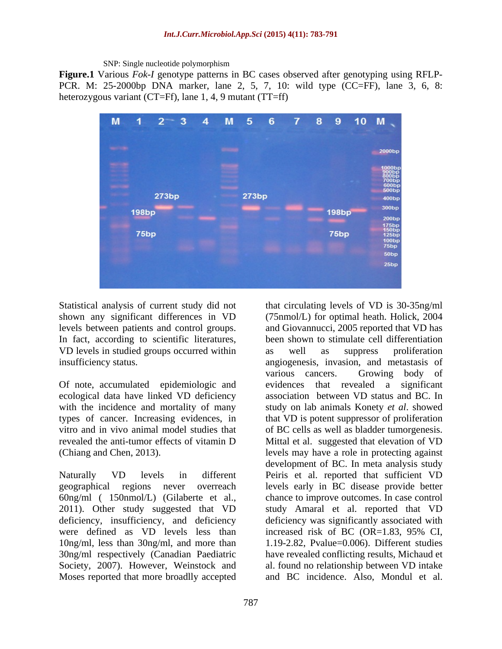SNP: Single nucleotide polymorphism

**Figure.1** Various *Fok-I* genotype patterns in BC cases observed after genotyping using RFLP-PCR. M: 25-2000bp DNA marker, lane 2, 5, 7, 10: wild type (CC=FF), lane 3, 6, 8: heterozygous variant (CT=Ff), lane 1, 4, 9 mutant (TT=ff)



VD levels in studied groups occurred within as well as suppress proliferation

Of note, accumulated epidemiologic and evidences that revealed a significant ecological data have linked VD deficiency

were defined as VD levels less than increased risk of BC (OR=1.83, 95% CI, 10ng/ml, less than 30ng/ml, and more than Moses reported that more broadlly accepted and BC incidence. Also, Mondul et al.

Statistical analysis of current study did not that circulating levels of VD is 30-35ng/ml shown any significant differences in VD (75nmol/L) for optimal heath. Holick, 2004 levels between patients and control groups. and Giovannucci, 2005 reported that VD has In fact, according to scientific literatures, been shown to stimulate cell differentiation insufficiency status. angiogenesis, invasion, and metastasis of with the incidence and mortality of many study on lab animals Konety *et al*. showed types of cancer. Increasing evidences, in that VD is potent suppressor of proliferation vitro and in vivo animal model studies that of BC cells as well as bladder tumorgenesis. revealed the anti-tumor effects of vitamin D Mittal et al. suggested that elevation of VD (Chiang and Chen, 2013). levels may have a role in protecting against Naturally VD levels in different Peiris et al. reported that sufficient VD geographical regions never overreach levels early in BC disease provide better 60ng/ml ( 150nmol/L) (Gilaberte et al., chance to improve outcomes. In case control 2011). Other study suggested that VD study Amaral et al. reported that VD deficiency, insufficiency, and deficiency deficiency was significantly associated with 30ng/ml respectively (Canadian Paediatric have revealed conflicting results, Michaud et Society, 2007). However, Weinstock and al. found no relationship between VD intake as well as suppress proliferation various cancers. Growing body of evidences that revealed a significant association between VD status and BC. In development of BC. In meta analysis study chance to improve outcomes. In case control study Amaral et al. reported that VD increased risk of BC (OR=1.83, 95% CI, 1.19-2.82, Pvalue=0.006). Different studies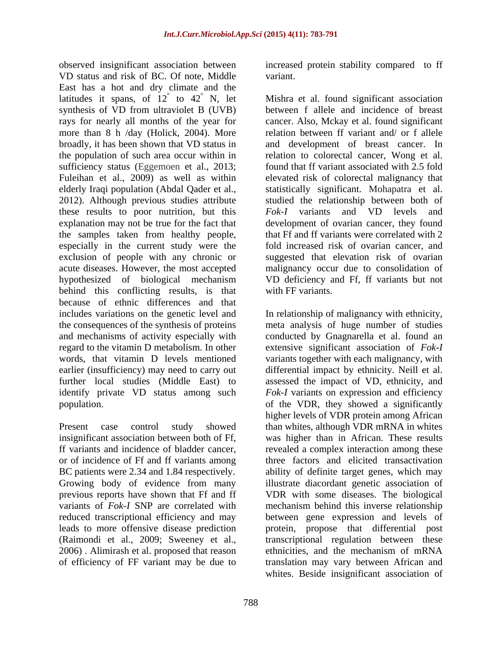observed insignificant association between increased protein stability compared to ff VD status and risk of BC. Of note, Middle East has a hot and dry climate and the latitudes it spans, of  $12^{\circ}$  to  $42^{\circ}$  N, let rays for nearly all months of the year for sufficiency status (Eggemoen et al., 2013; 2012). Although previous studies attribute these results to poor nutrition, but this Fok-I variants and VD levels and especially in the current study were the behind this conflicting results, is that because of ethnic differences and that includes variations on the genetic level and In relationship of malignancy with ethnicity, the consequences of the synthesis of proteins meta analysis of huge number of studies and mechanisms of activity especially with identify private VD status among such

BC patients were 2.34 and 1.84 respectively. previous reports have shown that Ff and ff of efficiency of FF variant may be due to

variant.

 $\degree$  to 42 $\degree$  N, let Mishra et al. found significant association synthesis of VD from ultraviolet B (UVB) between f allele and incidence of breast more than 8 h /day (Holick, 2004). More relation between ff variant and/ or f allele broadly, it has been shown that VD status in and development of breast cancer. In the population of such area occur within in relation to colorectal cancer, Wong et al. Fuleihan et al., 2009) as well as within elevated risk of colorectal malignancy that elderly Iraqi population (Abdal Qader et al., statistically significant. Mohapatra et al. explanation may not be true for the fact that development of ovarian cancer, they found the samples taken from healthy people, that Ff and ff variants were correlated with 2 exclusion of people with any chronic or suggested that elevation risk of ovarian acute diseases. However, the most accepted malignancy occur due to consolidation of hypothesized of biological mechanism VD deficiency and Ff, ff variants but not cancer. Also, Mckay et al. found significant found that ff variant associated with 2.5 fold studied the relationship between both of *Fok-I* variants and VD levels and fold increased risk of ovarian cancer, and with FF variants.

regard to the vitamin D metabolism. In other extensive significant association of *Fok-I* words, that vitamin D levels mentioned variants together with each malignancy, with earlier (insufficiency) may need to carry out differential impact by ethnicity. Neill et al. further local studies (Middle East) to assessed the impact of VD, ethnicity, and population. of the VDR, they showed a significantly Present case control study showed than whites, although VDR mRNA in whites insignificant association between both of Ff, was higher than in African. These results ff variants and incidence of bladder cancer, revealed a complex interaction among these or of incidence of Ff and ff variants among three factors and elicited transactivation Growing body of evidence from many illustrate diacordant genetic association of variants of *Fok-I* SNP are correlated with mechanism behind this inverse relationship reduced transcriptional efficiency and may between gene expression and levels of leads to more offensive disease prediction protein, propose that differential post (Raimondi et al., 2009; Sweeney et al., transcriptional regulation between these 2006) . Alimirash et al. proposed that reason ethnicities, and the mechanism of mRNA In relationship of malignancy with ethnicity, meta analysis of huge number of studies conducted by Gnagnarella et al. found an *Fok-I* variants on expression and efficiency higher levels of VDR protein among African ability of definite target genes, which may VDR with some diseases. The biological translation may vary between African and whites. Beside insignificant association of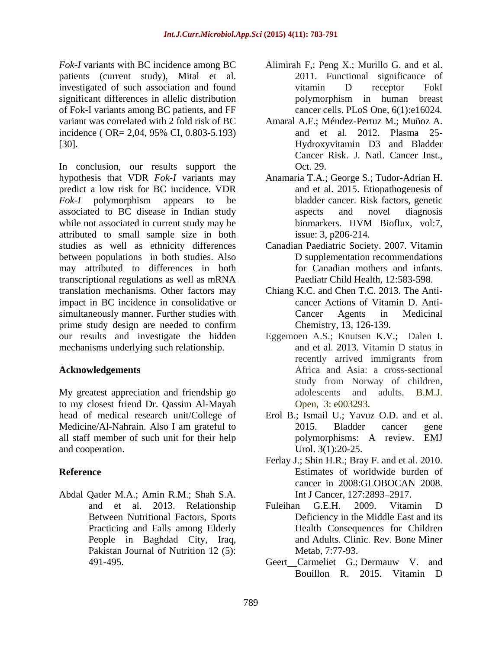*Fok-I* variants with BC incidence among BC Alimirah F<sub>i</sub>; Peng X<sub>i</sub>; Murillo G. and et al. patients (current study), Mital et al. 2011. Functional significance of investigated of such association and found vitamin D receptor FokI significant differences in allelic distribution by polymorphism in human breast of Fok-I variants among BC patients, and FF variant was correlated with 2 fold risk of BC Amaral A.F.; Méndez-Pertuz M.; Muñoz A. incidence ( OR= 2,04, 95% CI, 0.803-5.193)

hypothesis that VDR *Fok-I* variants may Anamaria T.A.; George S.; Tudor-Adrian H. predict a low risk for BC incidence. VDR *Fok-I* polymorphism appears to be bladder cancer. Risk factors, genetic associated to BC disease in Indian study while not associated in current study may be biomarkers. HVM Bioflux, vol:7, attributed to small sample size in both studies as well as ethnicity differences Canadian Paediatric Society. 2007. Vitamin between populations in both studies. Also may attributed to differences in both transcriptional regulations as well as mRNA translation mechanisms. Other factors may Chiang K.C. and Chen T.C. 2013. The Anti impact in BC incidence in consolidative or simultaneously manner. Further studies with Cancer Agents in Medicinal prime study design are needed to confirm<br>Chemistry, 13, 126-139. our results and investigate the hidden Eggemoen A.S.; Knutsen K.V.; Dalen I. mechanisms underlying such relationship. and et al. 2013. Vitamin D status in arian with BC incidents and the matrix (17) and the section and four-<br>arian symmetric and the section and four-<br>and Adis Coreal and Adis Coreal state and the section and four-<br>and all differences in allelic distribution in

My greatest appreciation and friendship go to my closest friend Dr. Qassim Al-Mayah Medicine/Al-Nahrain. Also I am grateful to 2015. Bladder cancer gene all staff member of such unit for their help polymorphisms: A review. EMJ

Abdal Qader M.A.; Amin R.M.; Shah S.A. People in Baghdad City, Iraq, Pakistan Journal of Nutrition 12 (5):

- vitamin D receptor FokI polymorphism in human breast cancer cells. PLoS One, 6(1):e16024.
- [30].<br>In conclusion, our results support the Cancer Risk. J. Natl. Cancer Inst.,<br>In conclusion, our results support the Oct. 29. and et al. 2012. Plasma 25- Hydroxyvitamin D3 and Bladder Cancer Risk. J. Natl. Cancer Inst., Oct. 29.
	- and et al. 2015. Etiopathogenesis of bladder cancer. Risk factors, genetic aspects and novel diagnosis biomarkers. HVM Bioflux, vol:7, issue: 3, p206-214.
	- D supplementation recommendations for Canadian mothers and infants. Paediatr Child Health, 12:583-598.
	- cancer Actions of Vitamin D. Anti- Cancer Agents in Medicinal
- **Acknowledgements** Africa and Asia: a cross-sectional Chemistry, <sup>13</sup>*,* 126-139. Eggemoen A.S.; Knutsen K.V.; Dalen I. and et al. 2013. Vitamin D status in recently arrived immigrants from study from Norway of children, adolescents and adults. B.M.J. Open, 3: e003293.
- head of medical research unit/College of Erol B.; Ismail U.; Yavuz O.D. and et al. and cooperation. Urol. 3(1):20-25. 2015. Bladder cancer gene polymorphisms: A review. EMJ
- **Reference** Estimates of worldwide burden of Ferlay J.; Shin H.R.; Bray F. and et al. 2010. cancer in 2008:GLOBOCAN 2008. Int J Cancer, 127:2893-2917.
	- and et al. 2013. Relationship Between Nutritional Factors, Sports Deficiency in the Middle East and its Practicing and Falls among Elderly Health Consequences for Children Fuleihan G.E.H. 2009. Vitamin D and Adults. Clinic. Rev. Bone Miner Metab, 7:77-93.
		- Geert Carmeliet G.; Dermauw V. and Bouillon R. 2015. Vitamin D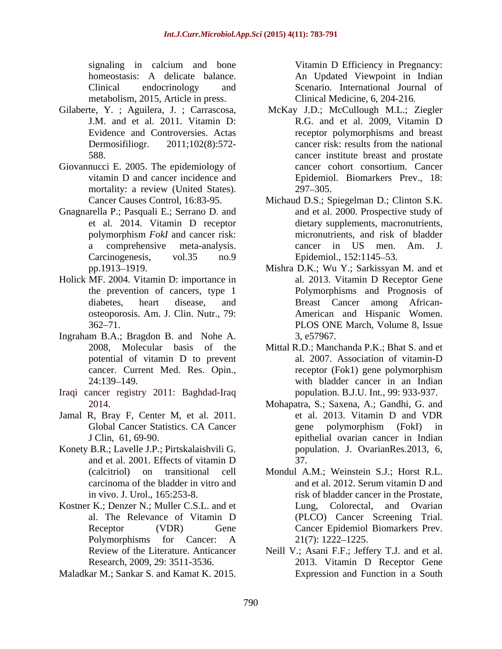metabolism, 2015, Article in press.

- Gilaberte, Y. ; Aguilera, J. ; Carrascosa,
- Giovannucci E. 2005. The epidemiology of mortality: a review (United States). 297–305.
- Gnagnarella P.; Pasquali E.; Serrano D. and
- Holick MF. 2004. Vitamin D: importance in
- Ingraham B.A.; Bragdon B. and Nohe A. 3, e57967.
- Iraqi cancer registry 2011: Baghdad-Iraq
- 
- Konety B.R.; Lavelle J.P.; Pirtskalaishvili G. carcinoma of the bladder in vitro and
- Kostner K.: Denzer N.: Muller C.S.L. and et Lung. Colorectal. and Ovarian
- Maladkar M.; Sankar S. and Kamat K. 2015.

signaling in calcium and bone **Vitamin D** Efficiency in Pregnancy: homeostasis: A delicate balance. An Updated Viewpoint in Indian Clinical endocrinology and Scenario. International Journal of Vitamin D Efficiency in Pregnancy: Clinical Medicine, 6, 204-216.

- J.M. and et al. 2011. Vitamin D: R.G. and et al. 2009, Vitamin D Evidence and Controversies. Actas receptor polymorphisms and breast Dermosifiliogr. 2011;102(8):572- cancer risk: results from the national 588. cancer institute breast and prostate vitamin D and cancer incidence and Epidemiol. Biomarkers Prev., 18: McKay J.D.; McCullough M.L.; Ziegler cancer risk: results from the national cancer cohort consortium. Cancer 297–305.
- Cancer Causes Control, 16:83-95. Michaud D.S.; Spiegelman D.; Clinton S.K. et al. 2014. Vitamin D receptor dietary supplements, macronutrients, polymorphism *FokI* and cancer risk: a comprehensive meta-analysis. cancer in US men. Am. J.<br>Carcinogenesis, vol.35 no.9 Epidemiol., 152:1145–53. and et al. 2000. Prospective study of micronutrients, and risk of bladder cancer in US men. Am. J. Epidemiol., 152:1145–53.
- pp.1913–1919. Mishra D.K.; Wu Y.; Sarkissyan M. and et the prevention of cancers, type 1 Polymorphisms and Prognosis of diabetes, heart disease, and Breast Cancer among Africanosteoporosis. Am. J. Clin. Nutr., 79: American and Hispanic Women. 362–71. PLOS ONE March, Volume 8, Issue al. 2013. Vitamin D Receptor Gene American and Hispanic Women. PLOS ONE March, Volume 8, Issue 3, e57967.
- 2008, Molecular basis of the Mittal R.D.; Manchanda P.K.; Bhat S. and et potential of vitamin D to prevent al. 2007. Association of vitamin-D cancer. Current Med. Res. Opin., 24:139–149. **Example 24:139–149.** With bladder cancer in an Indian al. 2007. Association of vitamin-D receptor (Fok1) gene polymorphism population. B.J.U. Int., 99: 933-937.
- 2014. Mohapatra, S.; Saxena, A.; Gandhi, G. and Jamal R, Bray F, Center M, et al. 2011. et al. 2013. Vitamin D and VDR Global Cancer Statistics. CA Cancer **Example 2** gene polymorphism (FokI) in J Clin, 61, 69-90. epithelial ovarian cancer in Indian and et al. 2001. Effects of vitamin D et al. 2013. Vitamin D and VDR gene polymorphism (FokI) in population. J. OvarianRes*.*2013, 6, 37.
	- (calcitriol) on transitional cell Mondul A.M.; Weinstein S.J.; Horst R.L. in vivo. J. Urol., 165:253-8. risk of bladder cancer in the Prostate, al. The Relevance of Vitamin D Receptor (VDR) Gene Cancer Epidemiol Biomarkers Prev. Polymorphisms for Cancer: A 21(7): 1222–1225. and et al. 2012. Serum vitamin D and Lung, Colorectal, and Ovarian (PLCO) Cancer Screening Trial. Cancer Epidemiol Biomarkers Prev.  $21(7): 1222 - 1225.$
	- Review of the Literature. Anticancer Neill V.; Asani F.F.; Jeffery T.J. and et al. Research, 2009, 29: 3511-3536. 2013. Vitamin D Receptor Gene Expression and Function in a South